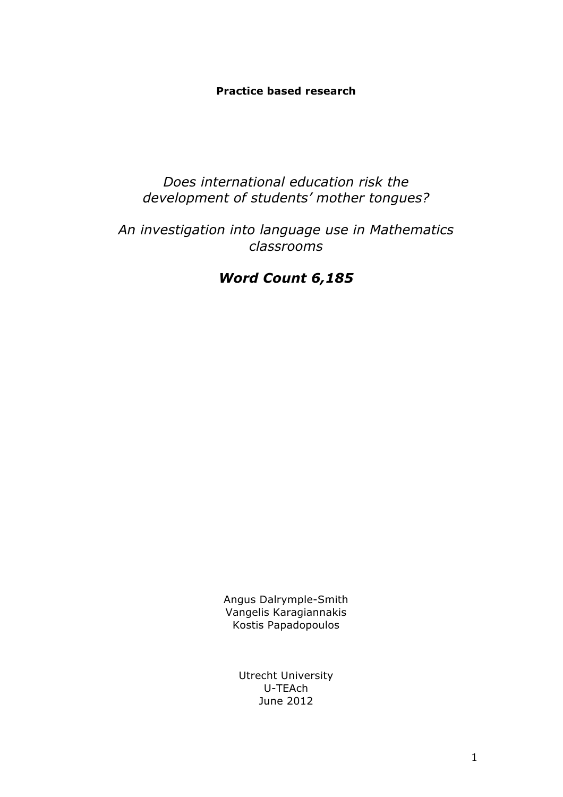## **Practice based research**

## *Does international education risk the development of students' mother tongues?*

# *An investigation into language use in Mathematics classrooms*

# *Word Count 6,185*

Angus Dalrymple-Smith Vangelis Karagiannakis Kostis Papadopoulos

> Utrecht University U-TEAch June 2012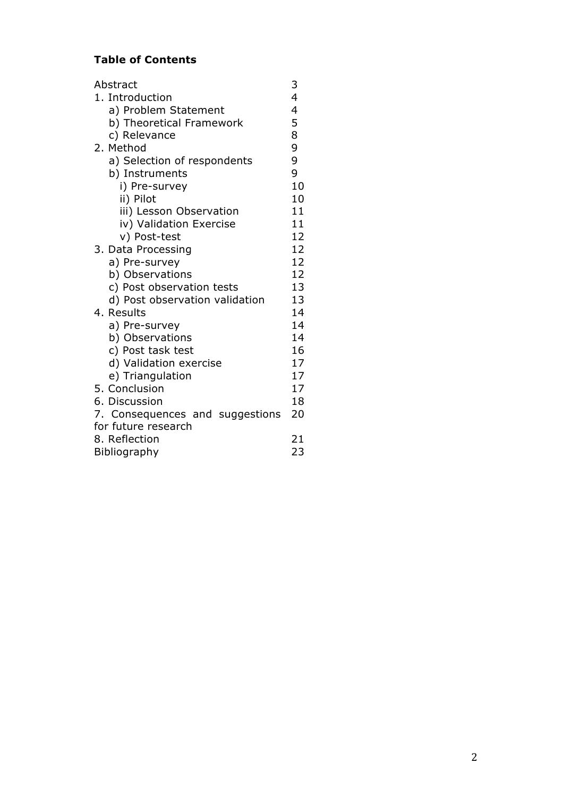## **Table of Contents**

| Abstract                        | 3  |
|---------------------------------|----|
| 1. Introduction                 | 4  |
| a) Problem Statement            | 4  |
| b) Theoretical Framework        | 5  |
| c) Relevance                    | 8  |
| 2. Method                       | 9  |
| a) Selection of respondents     | 9  |
| b) Instruments                  | 9  |
| i) Pre-survey                   | 10 |
| ii) Pilot                       | 10 |
| iii) Lesson Observation         | 11 |
| iv) Validation Exercise         | 11 |
| v) Post-test                    | 12 |
| 3. Data Processing              | 12 |
| a) Pre-survey                   | 12 |
| b) Observations                 | 12 |
| c) Post observation tests       | 13 |
| d) Post observation validation  | 13 |
| 4. Results                      | 14 |
| a) Pre-survey                   | 14 |
| b) Observations                 | 14 |
| c) Post task test               | 16 |
| d) Validation exercise          | 17 |
| e) Triangulation                | 17 |
| 5. Conclusion                   | 17 |
| 6. Discussion                   | 18 |
| 7. Consequences and suggestions | 20 |
| for future research             |    |
| 8. Reflection                   | 21 |
| <b>Bibliography</b>             | 23 |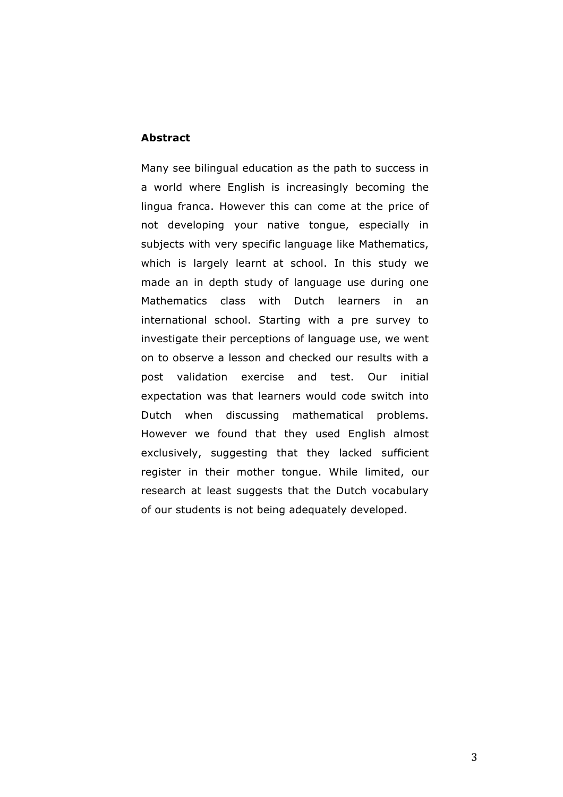#### **Abstract**

Many see bilingual education as the path to success in a world where English is increasingly becoming the lingua franca. However this can come at the price of not developing your native tongue, especially in subjects with very specific language like Mathematics, which is largely learnt at school. In this study we made an in depth study of language use during one Mathematics class with Dutch learners in an international school. Starting with a pre survey to investigate their perceptions of language use, we went on to observe a lesson and checked our results with a post validation exercise and test. Our initial expectation was that learners would code switch into Dutch when discussing mathematical problems. However we found that they used English almost exclusively, suggesting that they lacked sufficient register in their mother tongue. While limited, our research at least suggests that the Dutch vocabulary of our students is not being adequately developed.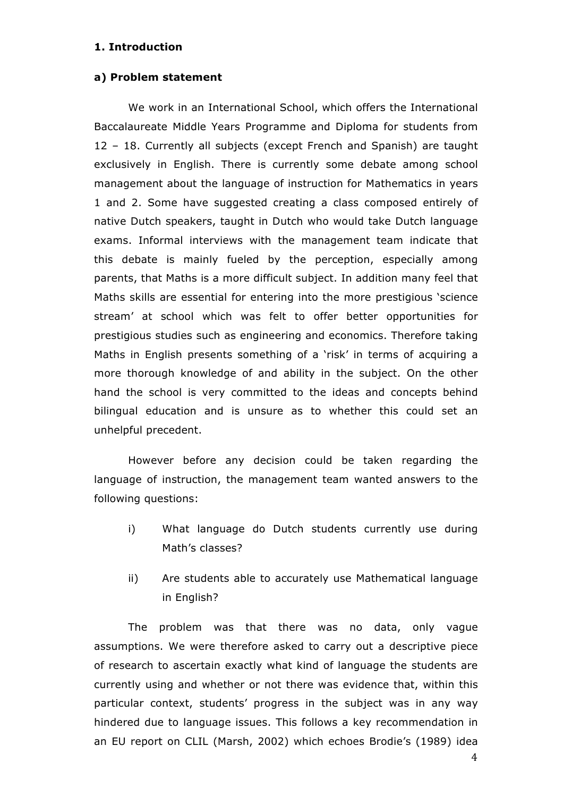## **1. Introduction**

#### **a) Problem statement**

We work in an International School, which offers the International Baccalaureate Middle Years Programme and Diploma for students from 12 – 18. Currently all subjects (except French and Spanish) are taught exclusively in English. There is currently some debate among school management about the language of instruction for Mathematics in years 1 and 2. Some have suggested creating a class composed entirely of native Dutch speakers, taught in Dutch who would take Dutch language exams. Informal interviews with the management team indicate that this debate is mainly fueled by the perception, especially among parents, that Maths is a more difficult subject. In addition many feel that Maths skills are essential for entering into the more prestigious 'science stream' at school which was felt to offer better opportunities for prestigious studies such as engineering and economics. Therefore taking Maths in English presents something of a 'risk' in terms of acquiring a more thorough knowledge of and ability in the subject. On the other hand the school is very committed to the ideas and concepts behind bilingual education and is unsure as to whether this could set an unhelpful precedent.

However before any decision could be taken regarding the language of instruction, the management team wanted answers to the following questions:

- i) What language do Dutch students currently use during Math's classes?
- ii) Are students able to accurately use Mathematical language in English?

The problem was that there was no data, only vague assumptions. We were therefore asked to carry out a descriptive piece of research to ascertain exactly what kind of language the students are currently using and whether or not there was evidence that, within this particular context, students' progress in the subject was in any way hindered due to language issues. This follows a key recommendation in an EU report on CLIL (Marsh, 2002) which echoes Brodie's (1989) idea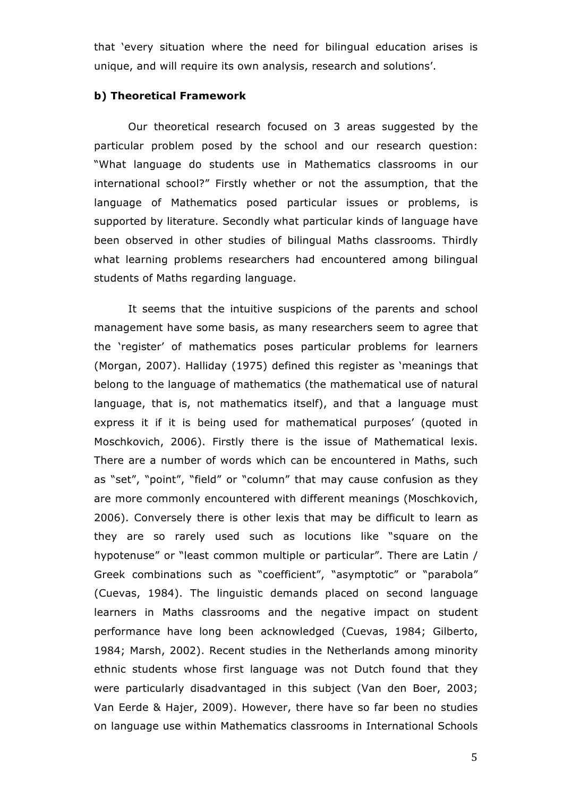that 'every situation where the need for bilingual education arises is unique, and will require its own analysis, research and solutions'.

#### **b) Theoretical Framework**

Our theoretical research focused on 3 areas suggested by the particular problem posed by the school and our research question: "What language do students use in Mathematics classrooms in our international school?" Firstly whether or not the assumption, that the language of Mathematics posed particular issues or problems, is supported by literature. Secondly what particular kinds of language have been observed in other studies of bilingual Maths classrooms. Thirdly what learning problems researchers had encountered among bilingual students of Maths regarding language.

It seems that the intuitive suspicions of the parents and school management have some basis, as many researchers seem to agree that the 'register' of mathematics poses particular problems for learners (Morgan, 2007). Halliday (1975) defined this register as 'meanings that belong to the language of mathematics (the mathematical use of natural language, that is, not mathematics itself), and that a language must express it if it is being used for mathematical purposes' (quoted in Moschkovich, 2006). Firstly there is the issue of Mathematical lexis. There are a number of words which can be encountered in Maths, such as "set", "point", "field" or "column" that may cause confusion as they are more commonly encountered with different meanings (Moschkovich, 2006). Conversely there is other lexis that may be difficult to learn as they are so rarely used such as locutions like "square on the hypotenuse" or "least common multiple or particular". There are Latin / Greek combinations such as "coefficient", "asymptotic" or "parabola" (Cuevas, 1984). The linguistic demands placed on second language learners in Maths classrooms and the negative impact on student performance have long been acknowledged (Cuevas, 1984; Gilberto, 1984; Marsh, 2002). Recent studies in the Netherlands among minority ethnic students whose first language was not Dutch found that they were particularly disadvantaged in this subject (Van den Boer, 2003; Van Eerde & Hajer, 2009). However, there have so far been no studies on language use within Mathematics classrooms in International Schools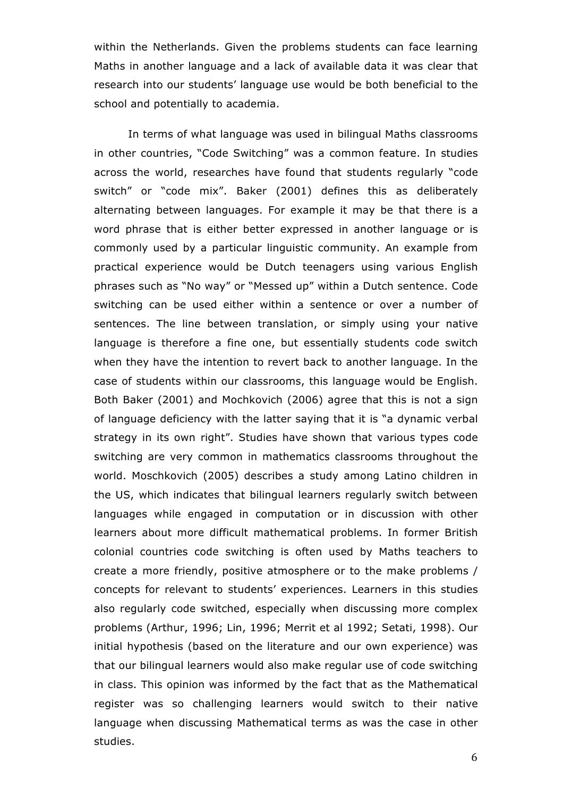within the Netherlands. Given the problems students can face learning Maths in another language and a lack of available data it was clear that research into our students' language use would be both beneficial to the school and potentially to academia.

In terms of what language was used in bilingual Maths classrooms in other countries, "Code Switching" was a common feature. In studies across the world, researches have found that students regularly "code switch" or "code mix". Baker (2001) defines this as deliberately alternating between languages. For example it may be that there is a word phrase that is either better expressed in another language or is commonly used by a particular linguistic community. An example from practical experience would be Dutch teenagers using various English phrases such as "No way" or "Messed up" within a Dutch sentence. Code switching can be used either within a sentence or over a number of sentences. The line between translation, or simply using your native language is therefore a fine one, but essentially students code switch when they have the intention to revert back to another language. In the case of students within our classrooms, this language would be English. Both Baker (2001) and Mochkovich (2006) agree that this is not a sign of language deficiency with the latter saying that it is "a dynamic verbal strategy in its own right". Studies have shown that various types code switching are very common in mathematics classrooms throughout the world. Moschkovich (2005) describes a study among Latino children in the US, which indicates that bilingual learners regularly switch between languages while engaged in computation or in discussion with other learners about more difficult mathematical problems. In former British colonial countries code switching is often used by Maths teachers to create a more friendly, positive atmosphere or to the make problems / concepts for relevant to students' experiences. Learners in this studies also regularly code switched, especially when discussing more complex problems (Arthur, 1996; Lin, 1996; Merrit et al 1992; Setati, 1998). Our initial hypothesis (based on the literature and our own experience) was that our bilingual learners would also make regular use of code switching in class. This opinion was informed by the fact that as the Mathematical register was so challenging learners would switch to their native language when discussing Mathematical terms as was the case in other studies.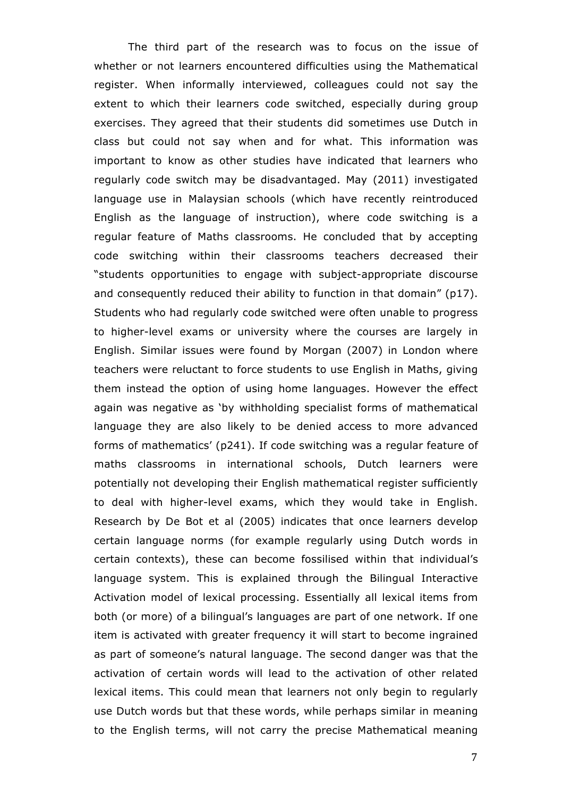The third part of the research was to focus on the issue of whether or not learners encountered difficulties using the Mathematical register. When informally interviewed, colleagues could not say the extent to which their learners code switched, especially during group exercises. They agreed that their students did sometimes use Dutch in class but could not say when and for what. This information was important to know as other studies have indicated that learners who regularly code switch may be disadvantaged. May (2011) investigated language use in Malaysian schools (which have recently reintroduced English as the language of instruction), where code switching is a regular feature of Maths classrooms. He concluded that by accepting code switching within their classrooms teachers decreased their "students opportunities to engage with subject-appropriate discourse and consequently reduced their ability to function in that domain" (p17). Students who had regularly code switched were often unable to progress to higher-level exams or university where the courses are largely in English. Similar issues were found by Morgan (2007) in London where teachers were reluctant to force students to use English in Maths, giving them instead the option of using home languages. However the effect again was negative as 'by withholding specialist forms of mathematical language they are also likely to be denied access to more advanced forms of mathematics' (p241). If code switching was a regular feature of maths classrooms in international schools, Dutch learners were potentially not developing their English mathematical register sufficiently to deal with higher-level exams, which they would take in English. Research by De Bot et al (2005) indicates that once learners develop certain language norms (for example regularly using Dutch words in certain contexts), these can become fossilised within that individual's language system. This is explained through the Bilingual Interactive Activation model of lexical processing. Essentially all lexical items from both (or more) of a bilingual's languages are part of one network. If one item is activated with greater frequency it will start to become ingrained as part of someone's natural language. The second danger was that the activation of certain words will lead to the activation of other related lexical items. This could mean that learners not only begin to regularly use Dutch words but that these words, while perhaps similar in meaning to the English terms, will not carry the precise Mathematical meaning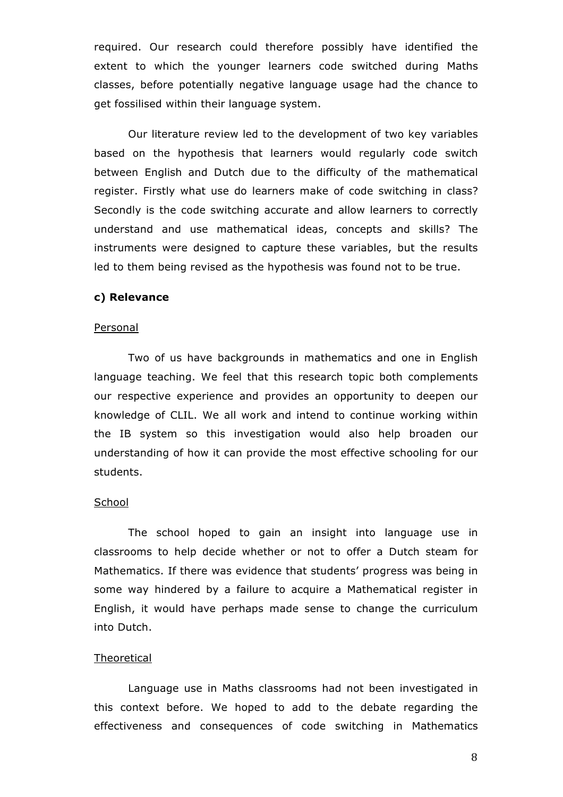required. Our research could therefore possibly have identified the extent to which the younger learners code switched during Maths classes, before potentially negative language usage had the chance to get fossilised within their language system.

Our literature review led to the development of two key variables based on the hypothesis that learners would regularly code switch between English and Dutch due to the difficulty of the mathematical register. Firstly what use do learners make of code switching in class? Secondly is the code switching accurate and allow learners to correctly understand and use mathematical ideas, concepts and skills? The instruments were designed to capture these variables, but the results led to them being revised as the hypothesis was found not to be true.

## **c) Relevance**

#### Personal

Two of us have backgrounds in mathematics and one in English language teaching. We feel that this research topic both complements our respective experience and provides an opportunity to deepen our knowledge of CLIL. We all work and intend to continue working within the IB system so this investigation would also help broaden our understanding of how it can provide the most effective schooling for our students.

#### **School**

The school hoped to gain an insight into language use in classrooms to help decide whether or not to offer a Dutch steam for Mathematics. If there was evidence that students' progress was being in some way hindered by a failure to acquire a Mathematical register in English, it would have perhaps made sense to change the curriculum into Dutch.

#### **Theoretical**

Language use in Maths classrooms had not been investigated in this context before. We hoped to add to the debate regarding the effectiveness and consequences of code switching in Mathematics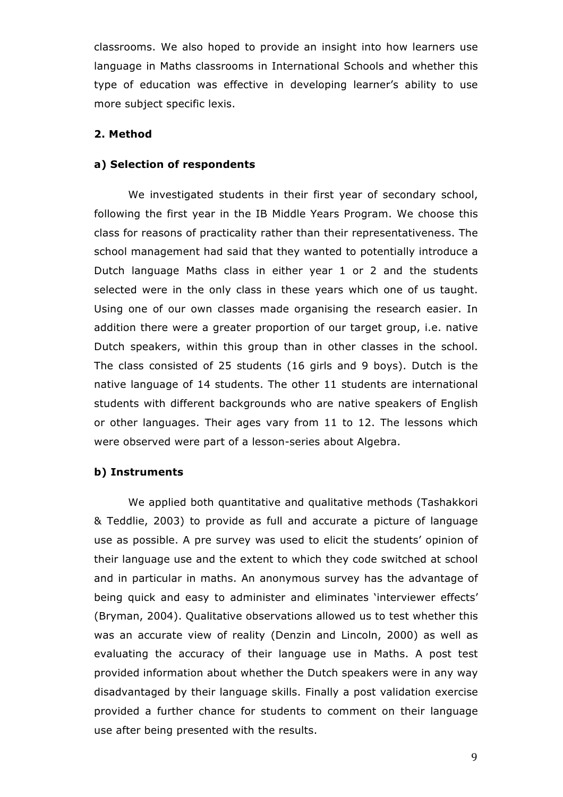classrooms. We also hoped to provide an insight into how learners use language in Maths classrooms in International Schools and whether this type of education was effective in developing learner's ability to use more subject specific lexis.

## **2. Method**

#### **a) Selection of respondents**

We investigated students in their first year of secondary school, following the first year in the IB Middle Years Program. We choose this class for reasons of practicality rather than their representativeness. The school management had said that they wanted to potentially introduce a Dutch language Maths class in either year 1 or 2 and the students selected were in the only class in these years which one of us taught. Using one of our own classes made organising the research easier. In addition there were a greater proportion of our target group, i.e. native Dutch speakers, within this group than in other classes in the school. The class consisted of 25 students (16 girls and 9 boys). Dutch is the native language of 14 students. The other 11 students are international students with different backgrounds who are native speakers of English or other languages. Their ages vary from 11 to 12. The lessons which were observed were part of a lesson-series about Algebra.

## **b) Instruments**

We applied both quantitative and qualitative methods (Tashakkori & Teddlie, 2003) to provide as full and accurate a picture of language use as possible. A pre survey was used to elicit the students' opinion of their language use and the extent to which they code switched at school and in particular in maths. An anonymous survey has the advantage of being quick and easy to administer and eliminates 'interviewer effects' (Bryman, 2004). Qualitative observations allowed us to test whether this was an accurate view of reality (Denzin and Lincoln, 2000) as well as evaluating the accuracy of their language use in Maths. A post test provided information about whether the Dutch speakers were in any way disadvantaged by their language skills. Finally a post validation exercise provided a further chance for students to comment on their language use after being presented with the results.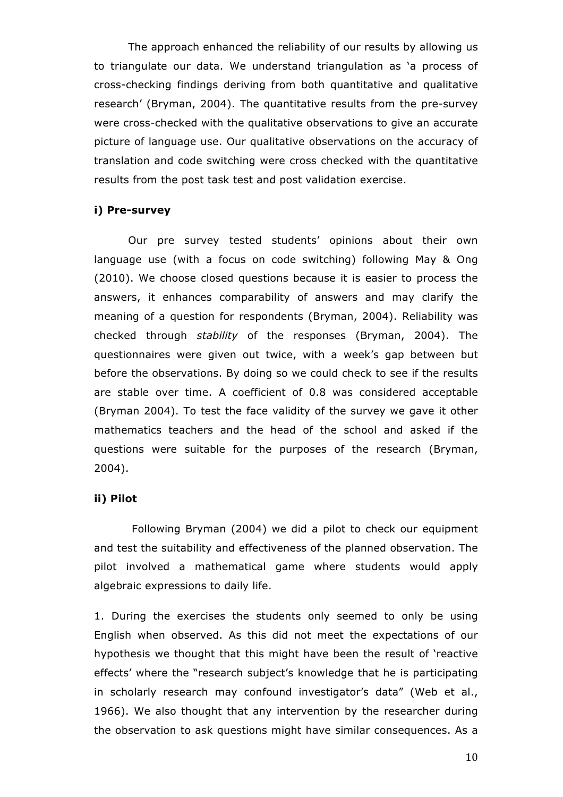The approach enhanced the reliability of our results by allowing us to triangulate our data. We understand triangulation as 'a process of cross-checking findings deriving from both quantitative and qualitative research' (Bryman, 2004). The quantitative results from the pre-survey were cross-checked with the qualitative observations to give an accurate picture of language use. Our qualitative observations on the accuracy of translation and code switching were cross checked with the quantitative results from the post task test and post validation exercise.

#### **i) Pre-survey**

Our pre survey tested students' opinions about their own language use (with a focus on code switching) following May & Ong (2010). We choose closed questions because it is easier to process the answers, it enhances comparability of answers and may clarify the meaning of a question for respondents (Bryman, 2004). Reliability was checked through *stability* of the responses (Bryman, 2004). The questionnaires were given out twice, with a week's gap between but before the observations. By doing so we could check to see if the results are stable over time. A coefficient of 0.8 was considered acceptable (Bryman 2004). To test the face validity of the survey we gave it other mathematics teachers and the head of the school and asked if the questions were suitable for the purposes of the research (Bryman, 2004).

#### **ii) Pilot**

Following Bryman (2004) we did a pilot to check our equipment and test the suitability and effectiveness of the planned observation. The pilot involved a mathematical game where students would apply algebraic expressions to daily life.

1. During the exercises the students only seemed to only be using English when observed. As this did not meet the expectations of our hypothesis we thought that this might have been the result of 'reactive effects' where the "research subject's knowledge that he is participating in scholarly research may confound investigator's data" (Web et al., 1966). We also thought that any intervention by the researcher during the observation to ask questions might have similar consequences. As a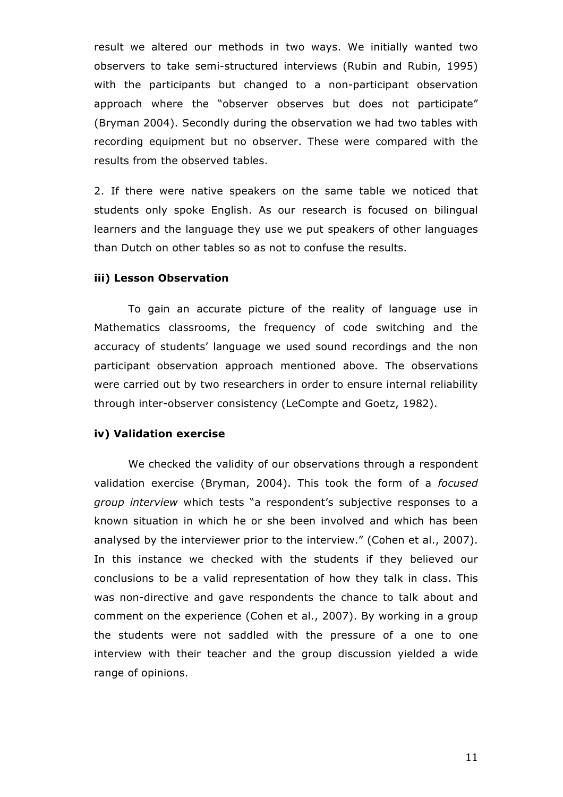result we altered our methods in two ways. We initially wanted two observers to take semi-structured interviews (Rubin and Rubin, 1995) with the participants but changed to a non-participant observation approach where the "observer observes but does not participate" (Bryman 2004). Secondly during the observation we had two tables with recording equipment but no observer. These were compared with the results from the observed tables.

2. If there were native speakers on the same table we noticed that students only spoke English. As our research is focused on bilingual learners and the language they use we put speakers of other languages than Dutch on other tables so as not to confuse the results.

## **iii) Lesson Observation**

To gain an accurate picture of the reality of language use in Mathematics classrooms, the frequency of code switching and the accuracy of students' language we used sound recordings and the non participant observation approach mentioned above. The observations were carried out by two researchers in order to ensure internal reliability through inter-observer consistency (LeCompte and Goetz, 1982).

#### **iv) Validation exercise**

We checked the validity of our observations through a respondent validation exercise (Bryman, 2004). This took the form of a *focused group interview* which tests "a respondent's subjective responses to a known situation in which he or she been involved and which has been analysed by the interviewer prior to the interview." (Cohen et al., 2007). In this instance we checked with the students if they believed our conclusions to be a valid representation of how they talk in class. This was non-directive and gave respondents the chance to talk about and comment on the experience (Cohen et al., 2007). By working in a group the students were not saddled with the pressure of a one to one interview with their teacher and the group discussion yielded a wide range of opinions.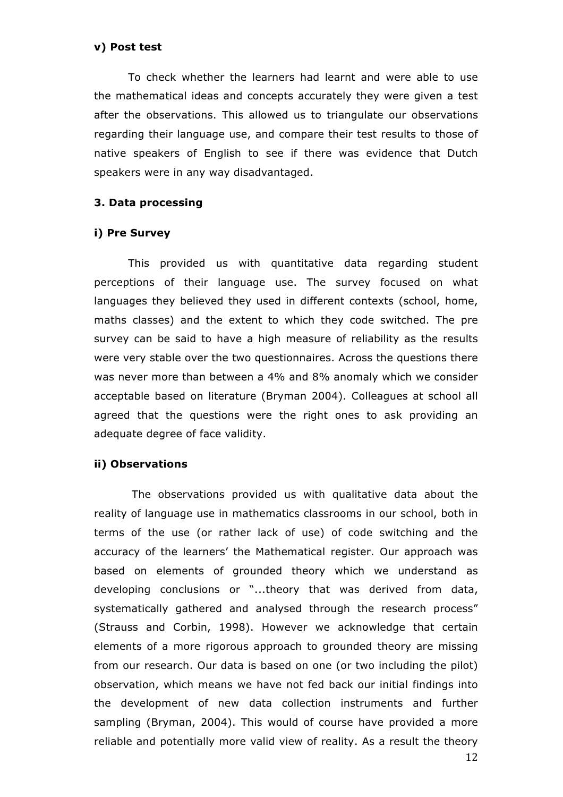### **v) Post test**

To check whether the learners had learnt and were able to use the mathematical ideas and concepts accurately they were given a test after the observations. This allowed us to triangulate our observations regarding their language use, and compare their test results to those of native speakers of English to see if there was evidence that Dutch speakers were in any way disadvantaged.

## **3. Data processing**

## **i) Pre Survey**

This provided us with quantitative data regarding student perceptions of their language use. The survey focused on what languages they believed they used in different contexts (school, home, maths classes) and the extent to which they code switched. The pre survey can be said to have a high measure of reliability as the results were very stable over the two questionnaires. Across the questions there was never more than between a 4% and 8% anomaly which we consider acceptable based on literature (Bryman 2004). Colleagues at school all agreed that the questions were the right ones to ask providing an adequate degree of face validity.

#### **ii) Observations**

The observations provided us with qualitative data about the reality of language use in mathematics classrooms in our school, both in terms of the use (or rather lack of use) of code switching and the accuracy of the learners' the Mathematical register. Our approach was based on elements of grounded theory which we understand as developing conclusions or "...theory that was derived from data, systematically gathered and analysed through the research process" (Strauss and Corbin, 1998). However we acknowledge that certain elements of a more rigorous approach to grounded theory are missing from our research. Our data is based on one (or two including the pilot) observation, which means we have not fed back our initial findings into the development of new data collection instruments and further sampling (Bryman, 2004). This would of course have provided a more reliable and potentially more valid view of reality. As a result the theory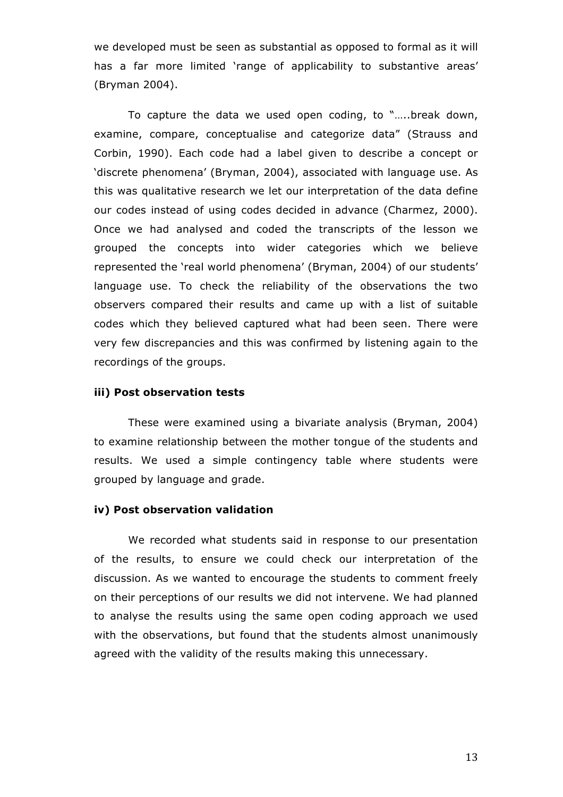we developed must be seen as substantial as opposed to formal as it will has a far more limited 'range of applicability to substantive areas' (Bryman 2004).

To capture the data we used open coding, to "…..break down, examine, compare, conceptualise and categorize data" (Strauss and Corbin, 1990). Each code had a label given to describe a concept or 'discrete phenomena' (Bryman, 2004), associated with language use. As this was qualitative research we let our interpretation of the data define our codes instead of using codes decided in advance (Charmez, 2000). Once we had analysed and coded the transcripts of the lesson we grouped the concepts into wider categories which we believe represented the 'real world phenomena' (Bryman, 2004) of our students' language use. To check the reliability of the observations the two observers compared their results and came up with a list of suitable codes which they believed captured what had been seen. There were very few discrepancies and this was confirmed by listening again to the recordings of the groups.

### **iii) Post observation tests**

These were examined using a bivariate analysis (Bryman, 2004) to examine relationship between the mother tongue of the students and results. We used a simple contingency table where students were grouped by language and grade.

#### **iv) Post observation validation**

We recorded what students said in response to our presentation of the results, to ensure we could check our interpretation of the discussion. As we wanted to encourage the students to comment freely on their perceptions of our results we did not intervene. We had planned to analyse the results using the same open coding approach we used with the observations, but found that the students almost unanimously agreed with the validity of the results making this unnecessary.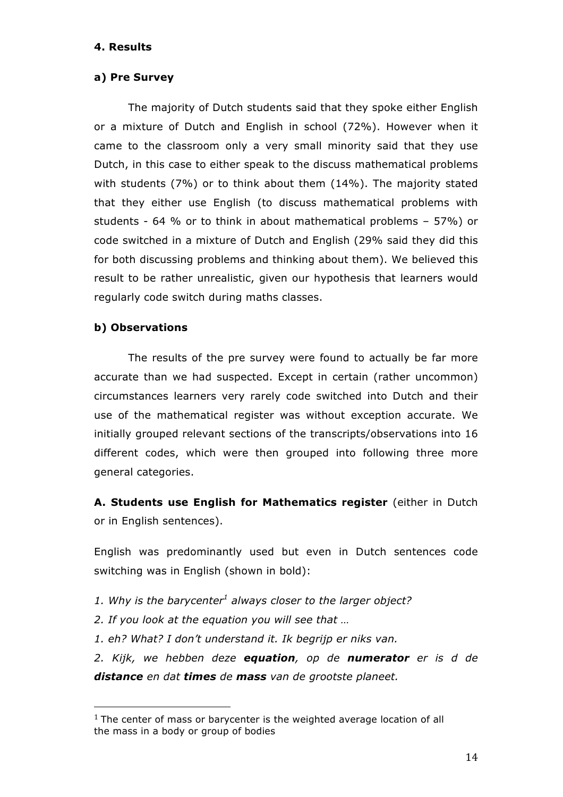## **4. Results**

## **a) Pre Survey**

The majority of Dutch students said that they spoke either English or a mixture of Dutch and English in school (72%). However when it came to the classroom only a very small minority said that they use Dutch, in this case to either speak to the discuss mathematical problems with students (7%) or to think about them (14%). The majority stated that they either use English (to discuss mathematical problems with students - 64 % or to think in about mathematical problems – 57%) or code switched in a mixture of Dutch and English (29% said they did this for both discussing problems and thinking about them). We believed this result to be rather unrealistic, given our hypothesis that learners would regularly code switch during maths classes.

## **b) Observations**

The results of the pre survey were found to actually be far more accurate than we had suspected. Except in certain (rather uncommon) circumstances learners very rarely code switched into Dutch and their use of the mathematical register was without exception accurate. We initially grouped relevant sections of the transcripts/observations into 16 different codes, which were then grouped into following three more general categories.

**A. Students use English for Mathematics register** (either in Dutch or in English sentences).

English was predominantly used but even in Dutch sentences code switching was in English (shown in bold):

- 1. Why is the barycenter<sup>1</sup> always closer to the larger object?
- *2. If you look at the equation you will see that …*

!!!!!!!!!!!!!!!!!!!!!!!!!!!!!!!!!!!!!!!!!!!!!!!!!!!!!!!

*1. eh? What? I don't understand it. Ik begrijp er niks van.*

*2. Kijk, we hebben deze equation, op de numerator er is d de distance en dat times de mass van de grootste planeet.*

 $1$  The center of mass or barycenter is the weighted average location of all the mass in a body or group of bodies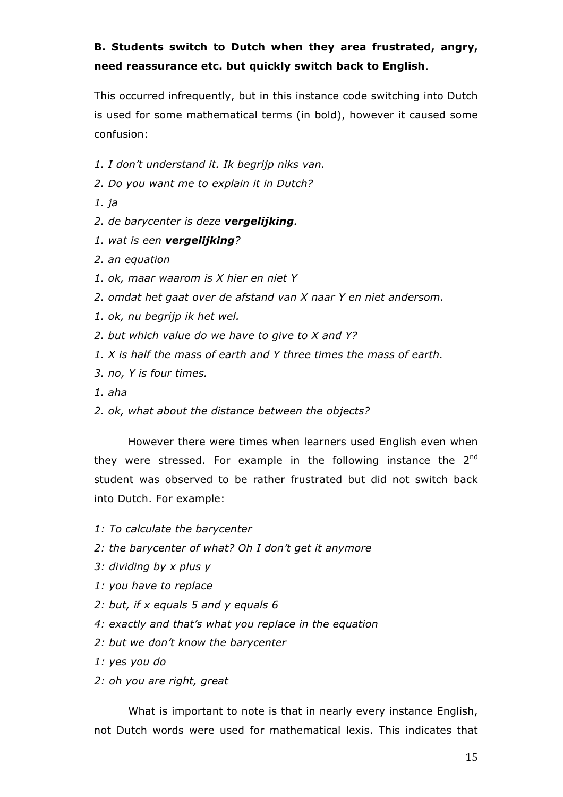# **B. Students switch to Dutch when they area frustrated, angry, need reassurance etc. but quickly switch back to English**.

This occurred infrequently, but in this instance code switching into Dutch is used for some mathematical terms (in bold), however it caused some confusion:

- *1. I don't understand it. Ik begrijp niks van.*
- *2. Do you want me to explain it in Dutch?*
- *1. ja*
- *2. de barycenter is deze vergelijking.*
- *1. wat is een vergelijking?*
- *2. an equation*
- *1. ok, maar waarom is X hier en niet Y*
- *2. omdat het gaat over de afstand van X naar Y en niet andersom.*
- *1. ok, nu begrijp ik het wel.*
- *2. but which value do we have to give to X and Y?*
- *1. X is half the mass of earth and Y three times the mass of earth.*
- *3. no, Y is four times.*
- *1. aha*
- *2. ok, what about the distance between the objects?*

However there were times when learners used English even when they were stressed. For example in the following instance the  $2^{nd}$ student was observed to be rather frustrated but did not switch back into Dutch. For example:

- *1: To calculate the barycenter*
- *2: the barycenter of what? Oh I don't get it anymore*
- *3: dividing by x plus y*
- *1: you have to replace*
- *2: but, if x equals 5 and y equals 6*
- *4: exactly and that's what you replace in the equation*
- *2: but we don't know the barycenter*
- *1: yes you do*
- *2: oh you are right, great*

What is important to note is that in nearly every instance English, not Dutch words were used for mathematical lexis. This indicates that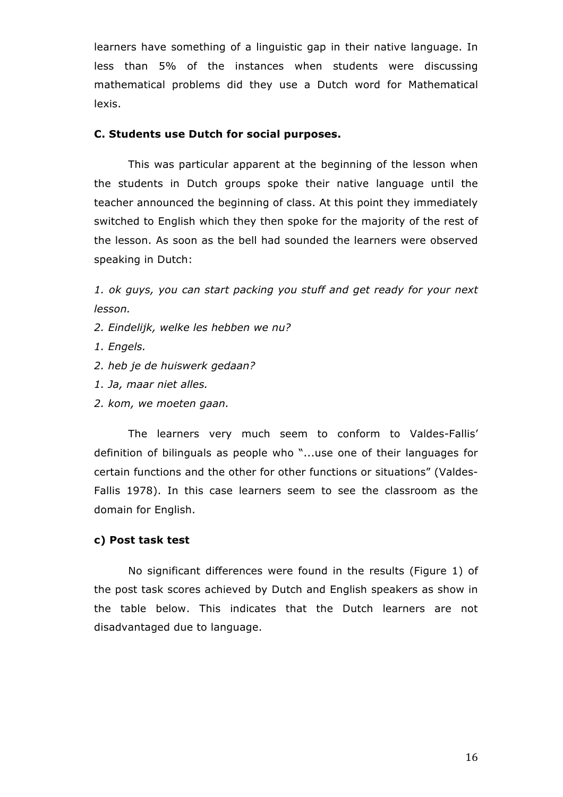learners have something of a linguistic gap in their native language. In less than 5% of the instances when students were discussing mathematical problems did they use a Dutch word for Mathematical lexis.

## **C. Students use Dutch for social purposes.**

This was particular apparent at the beginning of the lesson when the students in Dutch groups spoke their native language until the teacher announced the beginning of class. At this point they immediately switched to English which they then spoke for the majority of the rest of the lesson. As soon as the bell had sounded the learners were observed speaking in Dutch:

*1. ok guys, you can start packing you stuff and get ready for your next lesson.*

- *2. Eindelijk, welke les hebben we nu?*
- *1. Engels.*
- *2. heb je de huiswerk gedaan?*
- *1. Ja, maar niet alles.*
- *2. kom, we moeten gaan.*

The learners very much seem to conform to Valdes-Fallis' definition of bilinguals as people who "...use one of their languages for certain functions and the other for other functions or situations" (Valdes-Fallis 1978). In this case learners seem to see the classroom as the domain for English.

#### **c) Post task test**

No significant differences were found in the results (Figure 1) of the post task scores achieved by Dutch and English speakers as show in the table below. This indicates that the Dutch learners are not disadvantaged due to language.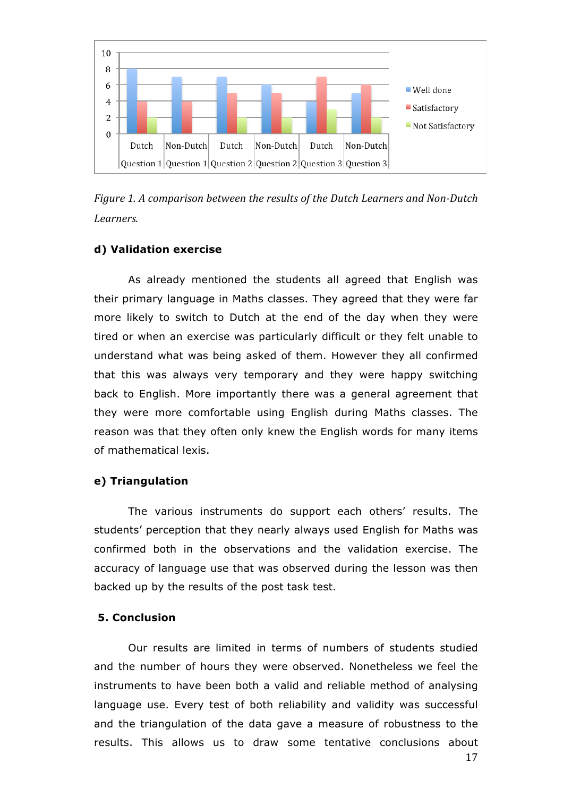



### **d) Validation exercise**

As already mentioned the students all agreed that English was their primary language in Maths classes. They agreed that they were far more likely to switch to Dutch at the end of the day when they were tired or when an exercise was particularly difficult or they felt unable to understand what was being asked of them. However they all confirmed that this was always very temporary and they were happy switching back to English. More importantly there was a general agreement that they were more comfortable using English during Maths classes. The reason was that they often only knew the English words for many items of mathematical lexis.

#### **e) Triangulation**

The various instruments do support each others' results. The students' perception that they nearly always used English for Maths was confirmed both in the observations and the validation exercise. The accuracy of language use that was observed during the lesson was then backed up by the results of the post task test.

## **5. Conclusion**

Our results are limited in terms of numbers of students studied and the number of hours they were observed. Nonetheless we feel the instruments to have been both a valid and reliable method of analysing language use. Every test of both reliability and validity was successful and the triangulation of the data gave a measure of robustness to the results. This allows us to draw some tentative conclusions about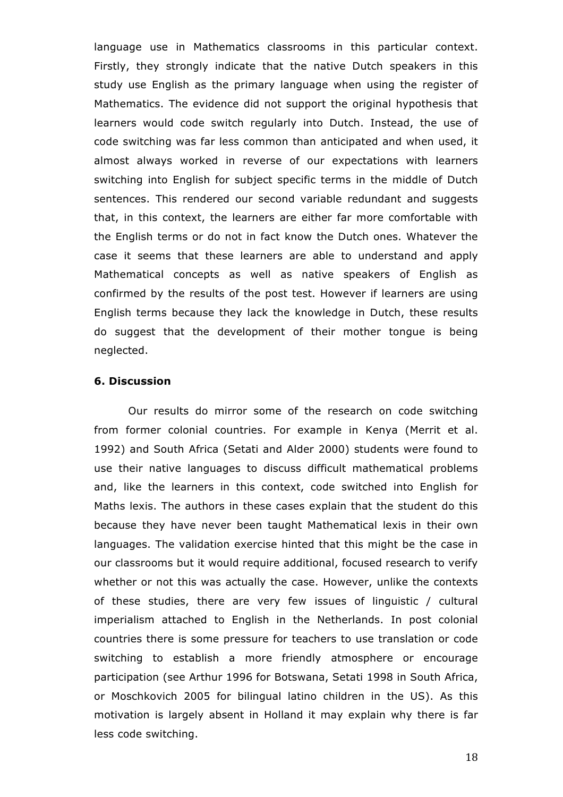language use in Mathematics classrooms in this particular context. Firstly, they strongly indicate that the native Dutch speakers in this study use English as the primary language when using the register of Mathematics. The evidence did not support the original hypothesis that learners would code switch regularly into Dutch. Instead, the use of code switching was far less common than anticipated and when used, it almost always worked in reverse of our expectations with learners switching into English for subject specific terms in the middle of Dutch sentences. This rendered our second variable redundant and suggests that, in this context, the learners are either far more comfortable with the English terms or do not in fact know the Dutch ones. Whatever the case it seems that these learners are able to understand and apply Mathematical concepts as well as native speakers of English as confirmed by the results of the post test. However if learners are using English terms because they lack the knowledge in Dutch, these results do suggest that the development of their mother tongue is being neglected.

## **6. Discussion**

Our results do mirror some of the research on code switching from former colonial countries. For example in Kenya (Merrit et al. 1992) and South Africa (Setati and Alder 2000) students were found to use their native languages to discuss difficult mathematical problems and, like the learners in this context, code switched into English for Maths lexis. The authors in these cases explain that the student do this because they have never been taught Mathematical lexis in their own languages. The validation exercise hinted that this might be the case in our classrooms but it would require additional, focused research to verify whether or not this was actually the case. However, unlike the contexts of these studies, there are very few issues of linguistic / cultural imperialism attached to English in the Netherlands. In post colonial countries there is some pressure for teachers to use translation or code switching to establish a more friendly atmosphere or encourage participation (see Arthur 1996 for Botswana, Setati 1998 in South Africa, or Moschkovich 2005 for bilingual latino children in the US). As this motivation is largely absent in Holland it may explain why there is far less code switching.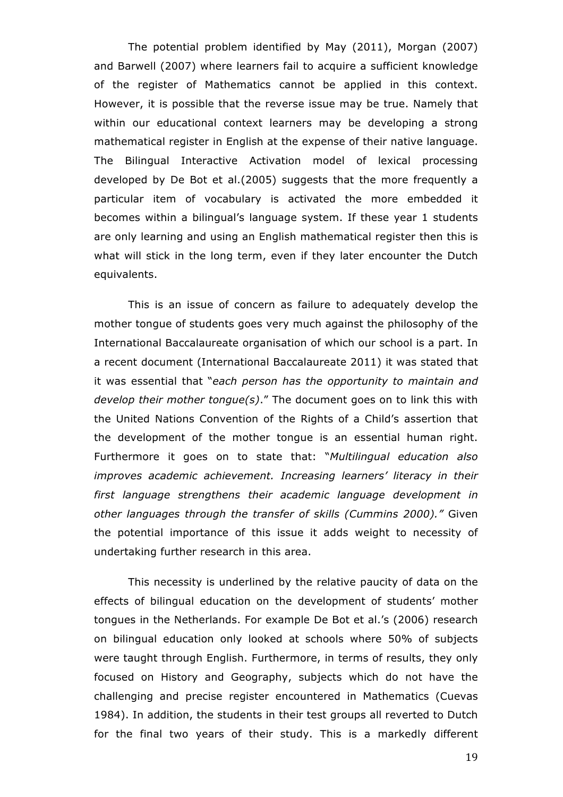The potential problem identified by May (2011), Morgan (2007) and Barwell (2007) where learners fail to acquire a sufficient knowledge of the register of Mathematics cannot be applied in this context. However, it is possible that the reverse issue may be true. Namely that within our educational context learners may be developing a strong mathematical register in English at the expense of their native language. The Bilingual Interactive Activation model of lexical processing developed by De Bot et al.(2005) suggests that the more frequently a particular item of vocabulary is activated the more embedded it becomes within a bilingual's language system. If these year 1 students are only learning and using an English mathematical register then this is what will stick in the long term, even if they later encounter the Dutch equivalents.

This is an issue of concern as failure to adequately develop the mother tongue of students goes very much against the philosophy of the International Baccalaureate organisation of which our school is a part. In a recent document (International Baccalaureate 2011) it was stated that it was essential that "*each person has the opportunity to maintain and develop their mother tongue(s)*." The document goes on to link this with the United Nations Convention of the Rights of a Child's assertion that the development of the mother tongue is an essential human right. Furthermore it goes on to state that: "*Multilingual education also improves academic achievement. Increasing learners' literacy in their first language strengthens their academic language development in other languages through the transfer of skills (Cummins 2000)."* Given the potential importance of this issue it adds weight to necessity of undertaking further research in this area.

This necessity is underlined by the relative paucity of data on the effects of bilingual education on the development of students' mother tongues in the Netherlands. For example De Bot et al.'s (2006) research on bilingual education only looked at schools where 50% of subjects were taught through English. Furthermore, in terms of results, they only focused on History and Geography, subjects which do not have the challenging and precise register encountered in Mathematics (Cuevas 1984). In addition, the students in their test groups all reverted to Dutch for the final two years of their study. This is a markedly different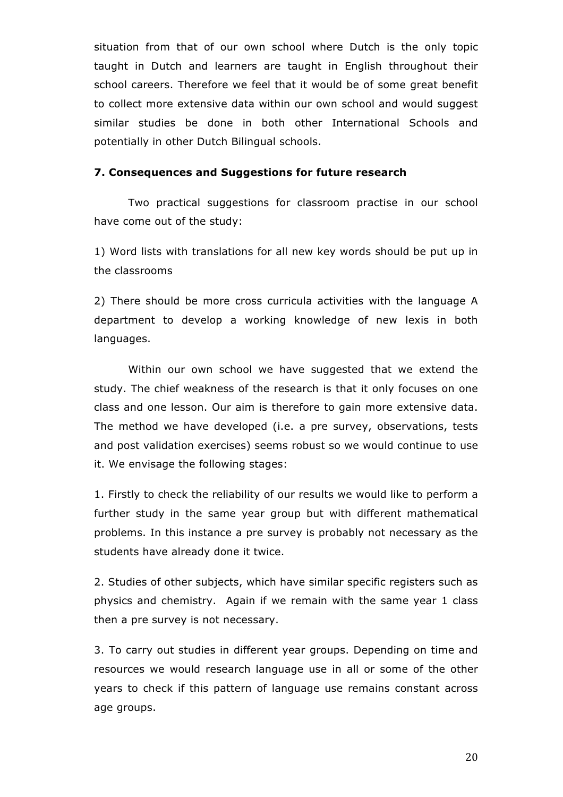situation from that of our own school where Dutch is the only topic taught in Dutch and learners are taught in English throughout their school careers. Therefore we feel that it would be of some great benefit to collect more extensive data within our own school and would suggest similar studies be done in both other International Schools and potentially in other Dutch Bilingual schools.

#### **7. Consequences and Suggestions for future research**

Two practical suggestions for classroom practise in our school have come out of the study:

1) Word lists with translations for all new key words should be put up in the classrooms

2) There should be more cross curricula activities with the language A department to develop a working knowledge of new lexis in both languages.

Within our own school we have suggested that we extend the study. The chief weakness of the research is that it only focuses on one class and one lesson. Our aim is therefore to gain more extensive data. The method we have developed (i.e. a pre survey, observations, tests and post validation exercises) seems robust so we would continue to use it. We envisage the following stages:

1. Firstly to check the reliability of our results we would like to perform a further study in the same year group but with different mathematical problems. In this instance a pre survey is probably not necessary as the students have already done it twice.

2. Studies of other subjects, which have similar specific registers such as physics and chemistry. Again if we remain with the same year 1 class then a pre survey is not necessary.

3. To carry out studies in different year groups. Depending on time and resources we would research language use in all or some of the other years to check if this pattern of language use remains constant across age groups.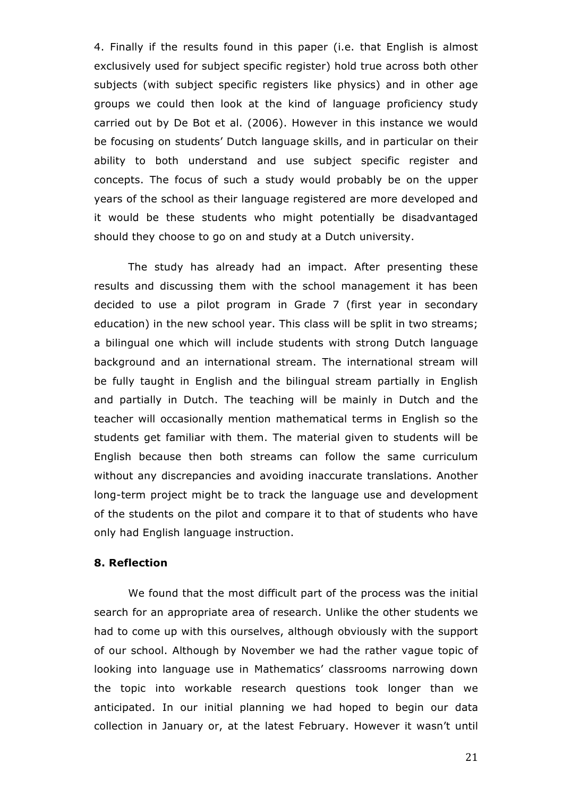4. Finally if the results found in this paper (i.e. that English is almost exclusively used for subject specific register) hold true across both other subjects (with subject specific registers like physics) and in other age groups we could then look at the kind of language proficiency study carried out by De Bot et al. (2006). However in this instance we would be focusing on students' Dutch language skills, and in particular on their ability to both understand and use subject specific register and concepts. The focus of such a study would probably be on the upper years of the school as their language registered are more developed and it would be these students who might potentially be disadvantaged should they choose to go on and study at a Dutch university.

The study has already had an impact. After presenting these results and discussing them with the school management it has been decided to use a pilot program in Grade 7 (first year in secondary education) in the new school year. This class will be split in two streams; a bilingual one which will include students with strong Dutch language background and an international stream. The international stream will be fully taught in English and the bilingual stream partially in English and partially in Dutch. The teaching will be mainly in Dutch and the teacher will occasionally mention mathematical terms in English so the students get familiar with them. The material given to students will be English because then both streams can follow the same curriculum without any discrepancies and avoiding inaccurate translations. Another long-term project might be to track the language use and development of the students on the pilot and compare it to that of students who have only had English language instruction.

#### **8. Reflection**

We found that the most difficult part of the process was the initial search for an appropriate area of research. Unlike the other students we had to come up with this ourselves, although obviously with the support of our school. Although by November we had the rather vague topic of looking into language use in Mathematics' classrooms narrowing down the topic into workable research questions took longer than we anticipated. In our initial planning we had hoped to begin our data collection in January or, at the latest February. However it wasn't until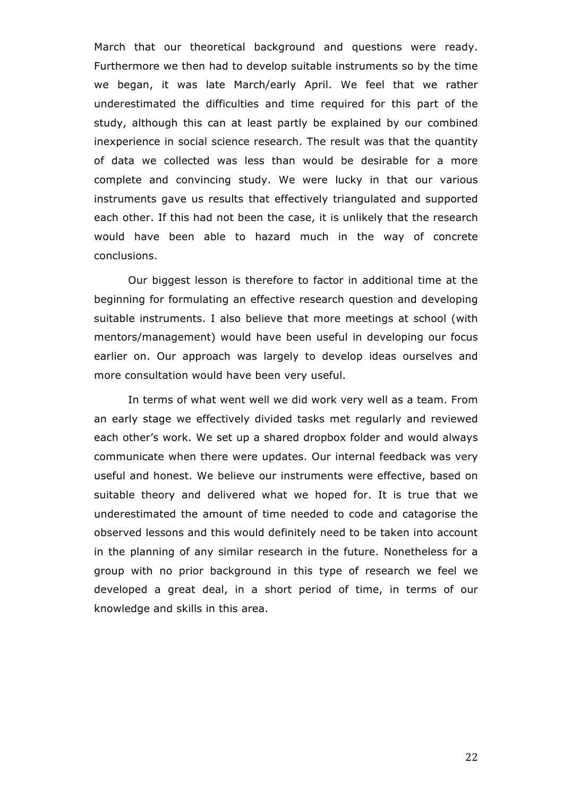March that our theoretical background and questions were ready. Furthermore we then had to develop suitable instruments so by the time we began, it was late March/early April. We feel that we rather underestimated the difficulties and time required for this part of the study, although this can at least partly be explained by our combined inexperience in social science research. The result was that the quantity of data we collected was less than would be desirable for a more complete and convincing study. We were lucky in that our various instruments gave us results that effectively triangulated and supported each other. If this had not been the case, it is unlikely that the research would have been able to hazard much in the way of concrete conclusions.

Our biggest lesson is therefore to factor in additional time at the beginning for formulating an effective research question and developing suitable instruments. I also believe that more meetings at school (with mentors/management) would have been useful in developing our focus earlier on. Our approach was largely to develop ideas ourselves and more consultation would have been very useful.

In terms of what went well we did work very well as a team. From an early stage we effectively divided tasks met regularly and reviewed each other's work. We set up a shared dropbox folder and would always communicate when there were updates. Our internal feedback was very useful and honest. We believe our instruments were effective, based on suitable theory and delivered what we hoped for. It is true that we underestimated the amount of time needed to code and catagorise the observed lessons and this would definitely need to be taken into account in the planning of any similar research in the future. Nonetheless for a group with no prior background in this type of research we feel we developed a great deal, in a short period of time, in terms of our knowledge and skills in this area.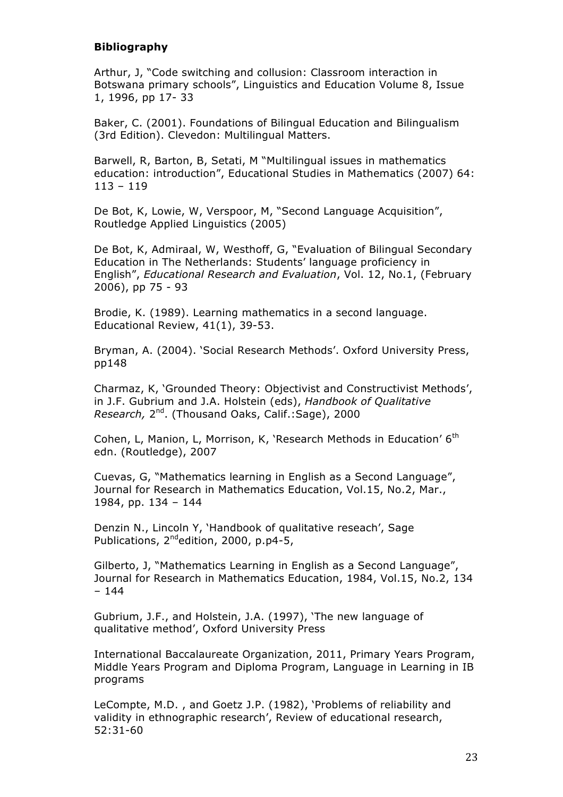## **Bibliography**

Arthur, J, "Code switching and collusion: Classroom interaction in Botswana primary schools", Linguistics and Education Volume 8, Issue 1, 1996, pp 17- 33

Baker, C. (2001). Foundations of Bilingual Education and Bilingualism (3rd Edition). Clevedon: Multilingual Matters.

Barwell, R, Barton, B, Setati, M "Multilingual issues in mathematics education: introduction", Educational Studies in Mathematics (2007) 64: 113 – 119

De Bot, K, Lowie, W, Verspoor, M, "Second Language Acquisition", Routledge Applied Linguistics (2005)

De Bot, K, Admiraal, W, Westhoff, G, "Evaluation of Bilingual Secondary Education in The Netherlands: Students' language proficiency in English", *Educational Research and Evaluation*, Vol. 12, No.1, (February 2006), pp 75 - 93

Brodie, K. (1989). Learning mathematics in a second language. Educational Review, 41(1), 39-53.

Bryman, A. (2004). 'Social Research Methods'. Oxford University Press, pp148

Charmaz, K, 'Grounded Theory: Objectivist and Constructivist Methods', in J.F. Gubrium and J.A. Holstein (eds), *Handbook of Qualitative Research,* 2nd. (Thousand Oaks, Calif.:Sage), 2000

Cohen, L, Manion, L, Morrison, K, 'Research Methods in Education'  $6<sup>th</sup>$ edn. (Routledge), 2007

Cuevas, G, "Mathematics learning in English as a Second Language", Journal for Research in Mathematics Education, Vol.15, No.2, Mar., 1984, pp. 134 – 144

Denzin N., Lincoln Y, 'Handbook of qualitative reseach', Sage Publications, 2<sup>nd</sup>edition, 2000, p.p4-5,

Gilberto, J, "Mathematics Learning in English as a Second Language", Journal for Research in Mathematics Education, 1984, Vol.15, No.2, 134 – 144

Gubrium, J.F., and Holstein, J.A. (1997), 'The new language of qualitative method', Oxford University Press

International Baccalaureate Organization, 2011, Primary Years Program, Middle Years Program and Diploma Program, Language in Learning in IB programs

LeCompte, M.D. , and Goetz J.P. (1982), 'Problems of reliability and validity in ethnographic research', Review of educational research, 52:31-60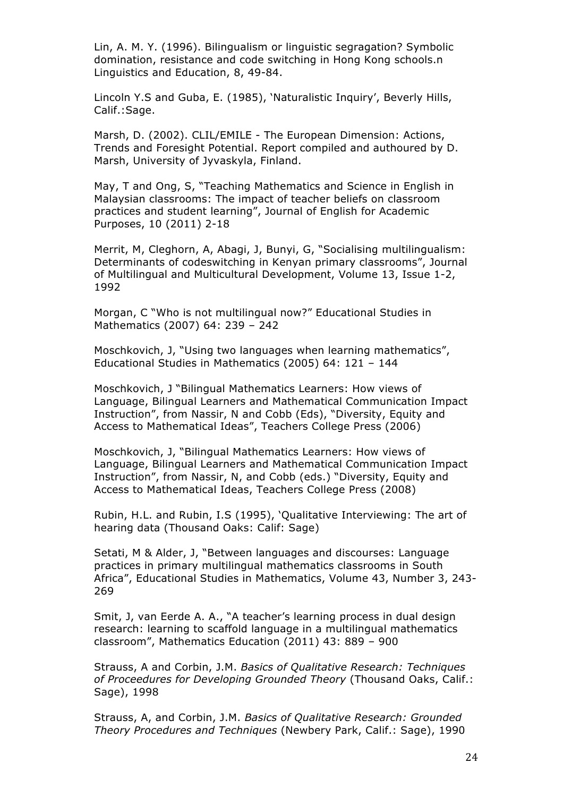Lin, A. M. Y. (1996). Bilingualism or linguistic segragation? Symbolic domination, resistance and code switching in Hong Kong schools.n Linguistics and Education, 8, 49-84.

Lincoln Y.S and Guba, E. (1985), 'Naturalistic Inquiry', Beverly Hills, Calif.:Sage.

Marsh, D. (2002). CLIL/EMILE - The European Dimension: Actions, Trends and Foresight Potential. Report compiled and authoured by D. Marsh, University of Jyvaskyla, Finland.

May, T and Ong, S, "Teaching Mathematics and Science in English in Malaysian classrooms: The impact of teacher beliefs on classroom practices and student learning", Journal of English for Academic Purposes, 10 (2011) 2-18

Merrit, M, Cleghorn, A, Abagi, J, Bunyi, G, "Socialising multilingualism: Determinants of codeswitching in Kenyan primary classrooms", Journal of Multilingual and Multicultural Development, Volume 13, Issue 1-2, 1992

Morgan, C "Who is not multilingual now?" Educational Studies in Mathematics (2007) 64: 239 – 242

Moschkovich, J, "Using two languages when learning mathematics", Educational Studies in Mathematics (2005) 64: 121 – 144

Moschkovich, J "Bilingual Mathematics Learners: How views of Language, Bilingual Learners and Mathematical Communication Impact Instruction", from Nassir, N and Cobb (Eds), "Diversity, Equity and Access to Mathematical Ideas", Teachers College Press (2006)

Moschkovich, J, "Bilingual Mathematics Learners: How views of Language, Bilingual Learners and Mathematical Communication Impact Instruction", from Nassir, N, and Cobb (eds.) "Diversity, Equity and Access to Mathematical Ideas, Teachers College Press (2008)

Rubin, H.L. and Rubin, I.S (1995), 'Qualitative Interviewing: The art of hearing data (Thousand Oaks: Calif: Sage)

Setati, M & Alder, J, "Between languages and discourses: Language practices in primary multilingual mathematics classrooms in South Africa", Educational Studies in Mathematics, Volume 43, Number 3, 243- 269

Smit, J, van Eerde A. A., "A teacher's learning process in dual design research: learning to scaffold language in a multilingual mathematics classroom", Mathematics Education (2011) 43: 889 – 900

Strauss, A and Corbin, J.M. *Basics of Qualitative Research: Techniques of Proceedures for Developing Grounded Theory* (Thousand Oaks, Calif.: Sage), 1998

Strauss, A, and Corbin, J.M. *Basics of Qualitative Research: Grounded Theory Procedures and Techniques* (Newbery Park, Calif.: Sage), 1990